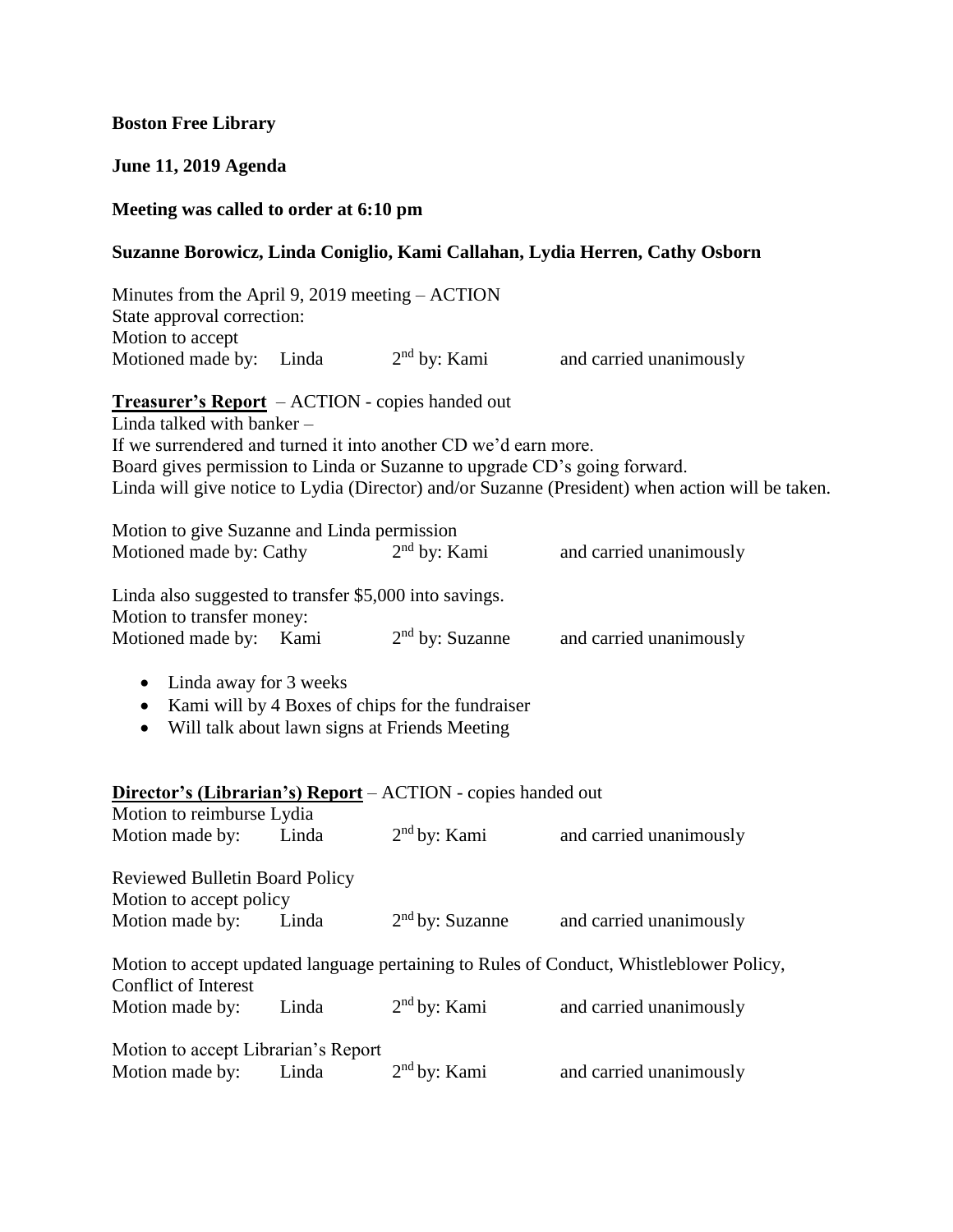### **Boston Free Library**

### **June 11, 2019 Agenda**

### **Meeting was called to order at 6:10 pm**

### **Suzanne Borowicz, Linda Coniglio, Kami Callahan, Lydia Herren, Cathy Osborn**

Minutes from the April 9, 2019 meeting – ACTION State approval correction: Motion to accept Motioned made by: Linda  $2<sup>nd</sup>$  by: Kami and carried unanimously **Treasurer's Report** – ACTION - copies handed out Linda talked with banker –

If we surrendered and turned it into another CD we'd earn more. Board gives permission to Linda or Suzanne to upgrade CD's going forward. Linda will give notice to Lydia (Director) and/or Suzanne (President) when action will be taken.

| Motion to give Suzanne and Linda permission             |                   |                         |
|---------------------------------------------------------|-------------------|-------------------------|
| Motioned made by: Cathy                                 | $2nd$ by: Kami    | and carried unanimously |
| Linda also suggested to transfer $$5,000$ into savings. |                   |                         |
| Motion to transfer money:                               |                   |                         |
| Motioned made by: Kami                                  | $2nd$ by: Suzanne | and carried unanimously |

- Linda away for 3 weeks
- Kami will by 4 Boxes of chips for the fundraiser
- Will talk about lawn signs at Friends Meeting

## **Director's (Librarian's) Report** – ACTION - copies handed out

| Motion to reimburse Lydia             |       |                   |                                                                                         |
|---------------------------------------|-------|-------------------|-----------------------------------------------------------------------------------------|
| Motion made by:                       | Linda | $2nd$ by: Kami    | and carried unanimously                                                                 |
| <b>Reviewed Bulletin Board Policy</b> |       |                   |                                                                                         |
| Motion to accept policy               |       |                   |                                                                                         |
| Motion made by:                       | Linda | $2nd$ by: Suzanne | and carried unanimously                                                                 |
|                                       |       |                   | Motion to accept updated language pertaining to Rules of Conduct, Whistleblower Policy, |
| Conflict of Interest                  |       |                   |                                                                                         |
| Motion made by:                       | Linda | $2nd$ by: Kami    | and carried unanimously                                                                 |
| Motion to accept Librarian's Report   |       |                   |                                                                                         |
| Motion made by:                       | Linda | $2nd$ by: Kami    | and carried unanimously                                                                 |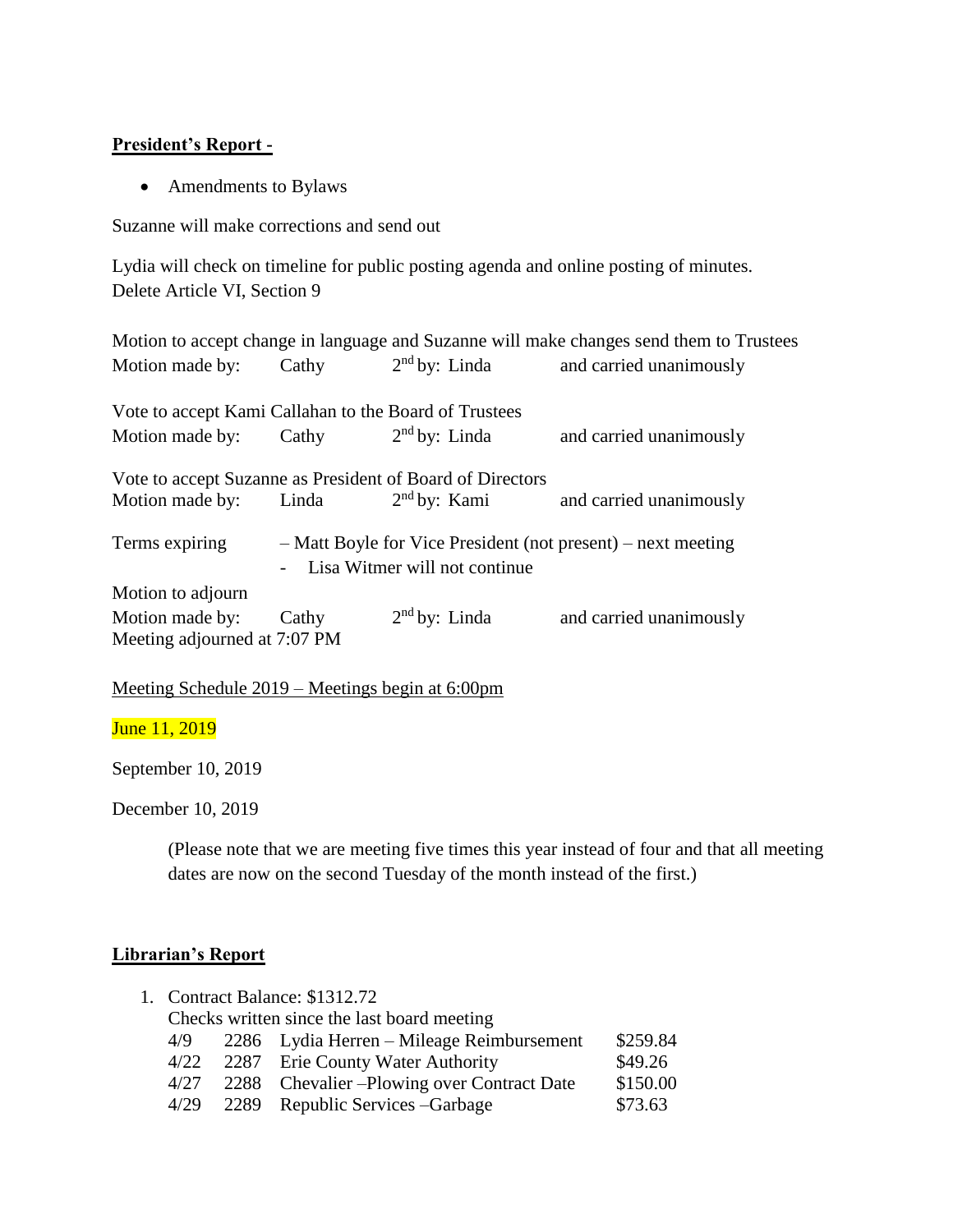## **President's Report -**

• Amendments to Bylaws

Suzanne will make corrections and send out

Lydia will check on timeline for public posting agenda and online posting of minutes. Delete Article VI, Section 9

|                                                           |       |                                 | Motion to accept change in language and Suzanne will make changes send them to Trustees |
|-----------------------------------------------------------|-------|---------------------------------|-----------------------------------------------------------------------------------------|
| Motion made by:                                           | Cathy | $2nd$ by: Linda                 | and carried unanimously                                                                 |
| Vote to accept Kami Callahan to the Board of Trustees     |       |                                 |                                                                                         |
| Motion made by:                                           | Cathy | $2nd$ by: Linda                 | and carried unanimously                                                                 |
| Vote to accept Suzanne as President of Board of Directors |       |                                 |                                                                                         |
| Motion made by:                                           | Linda | 2 <sup>nd</sup> by: Kami        | and carried unanimously                                                                 |
| Terms expiring                                            |       | - Lisa Witmer will not continue | - Matt Boyle for Vice President (not present) – next meeting                            |
| Motion to adjourn                                         |       |                                 |                                                                                         |
| Motion made by:                                           | Cathy | $2nd$ by: Linda                 | and carried unanimously                                                                 |
| Meeting adjourned at 7:07 PM                              |       |                                 |                                                                                         |

Meeting Schedule 2019 – Meetings begin at 6:00pm

June 11, 2019

September 10, 2019

December 10, 2019

(Please note that we are meeting five times this year instead of four and that all meeting dates are now on the second Tuesday of the month instead of the first.)

# **Librarian's Report**

| 1. Contract Balance: \$1312.72 |  |                                             |          |
|--------------------------------|--|---------------------------------------------|----------|
|                                |  | Checks written since the last board meeting |          |
| 4/9                            |  | 2286 Lydia Herren – Mileage Reimbursement   | \$259.84 |
| 4/22                           |  | 2287 Erie County Water Authority            | \$49.26  |
| 4/27                           |  | 2288 Chevalier – Plowing over Contract Date | \$150.00 |
| 4/29                           |  | 2289 Republic Services – Garbage            | \$73.63  |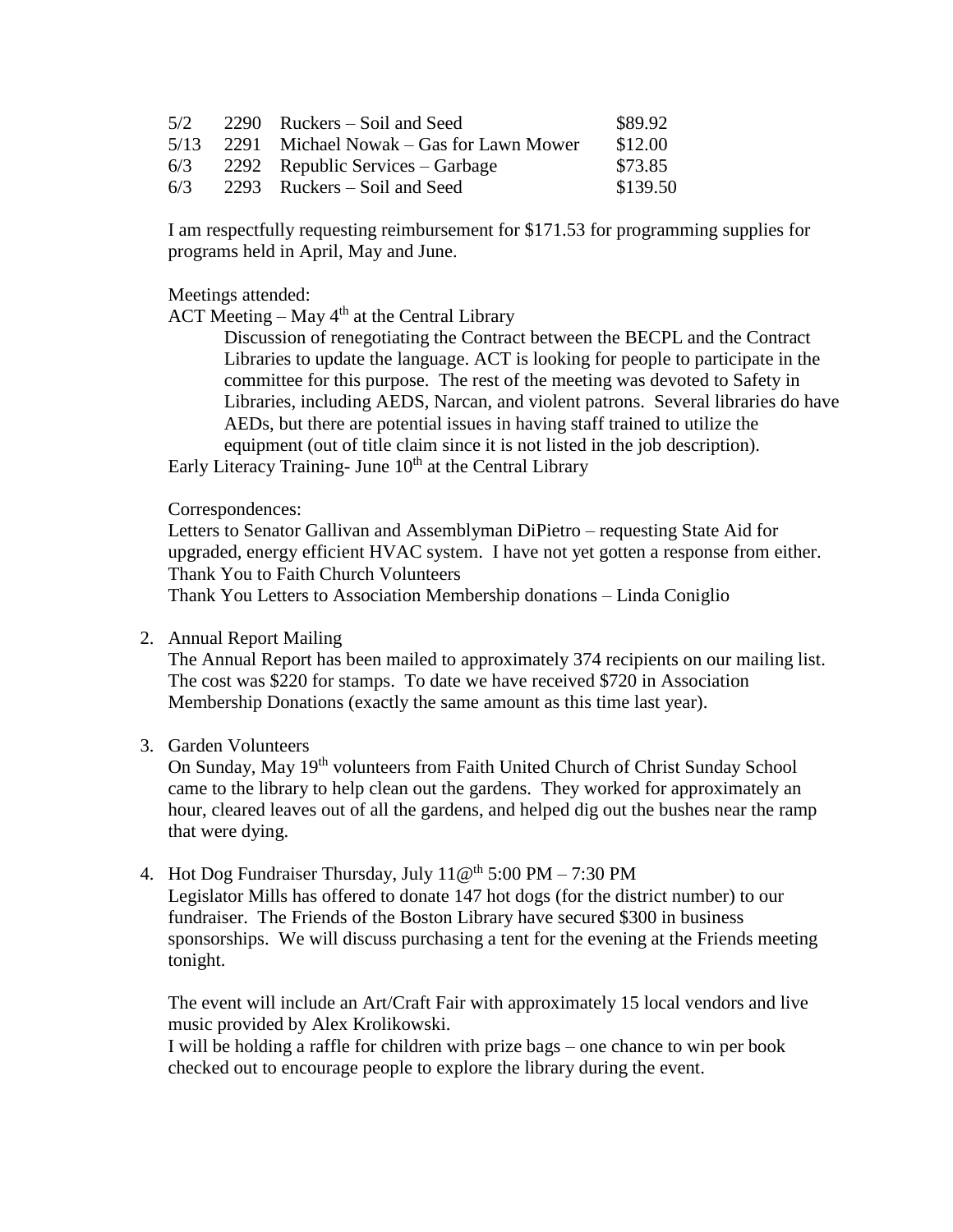| 5/2  | $2290$ Ruckers – Soil and Seed          | \$89.92  |
|------|-----------------------------------------|----------|
| 5/13 | 2291 Michael Nowak – Gas for Lawn Mower | \$12.00  |
| 6/3  | 2292 Republic Services – Garbage        | \$73.85  |
| 6/3  | 2293 Ruckers – Soil and Seed            | \$139.50 |

I am respectfully requesting reimbursement for \$171.53 for programming supplies for programs held in April, May and June.

Meetings attended:

ACT Meeting – May  $4<sup>th</sup>$  at the Central Library

Discussion of renegotiating the Contract between the BECPL and the Contract Libraries to update the language. ACT is looking for people to participate in the committee for this purpose. The rest of the meeting was devoted to Safety in Libraries, including AEDS, Narcan, and violent patrons. Several libraries do have AEDs, but there are potential issues in having staff trained to utilize the equipment (out of title claim since it is not listed in the job description).

Early Literacy Training- June  $10<sup>th</sup>$  at the Central Library

Correspondences:

Letters to Senator Gallivan and Assemblyman DiPietro – requesting State Aid for upgraded, energy efficient HVAC system. I have not yet gotten a response from either. Thank You to Faith Church Volunteers

Thank You Letters to Association Membership donations – Linda Coniglio

### 2. Annual Report Mailing

The Annual Report has been mailed to approximately 374 recipients on our mailing list. The cost was \$220 for stamps. To date we have received \$720 in Association Membership Donations (exactly the same amount as this time last year).

### 3. Garden Volunteers

On Sunday, May 19<sup>th</sup> volunteers from Faith United Church of Christ Sunday School came to the library to help clean out the gardens. They worked for approximately an hour, cleared leaves out of all the gardens, and helped dig out the bushes near the ramp that were dying.

#### 4. Hot Dog Fundraiser Thursday, July  $11@^{th} 5:00 PM - 7:30 PM$

Legislator Mills has offered to donate 147 hot dogs (for the district number) to our fundraiser. The Friends of the Boston Library have secured \$300 in business sponsorships. We will discuss purchasing a tent for the evening at the Friends meeting tonight.

The event will include an Art/Craft Fair with approximately 15 local vendors and live music provided by Alex Krolikowski.

I will be holding a raffle for children with prize bags – one chance to win per book checked out to encourage people to explore the library during the event.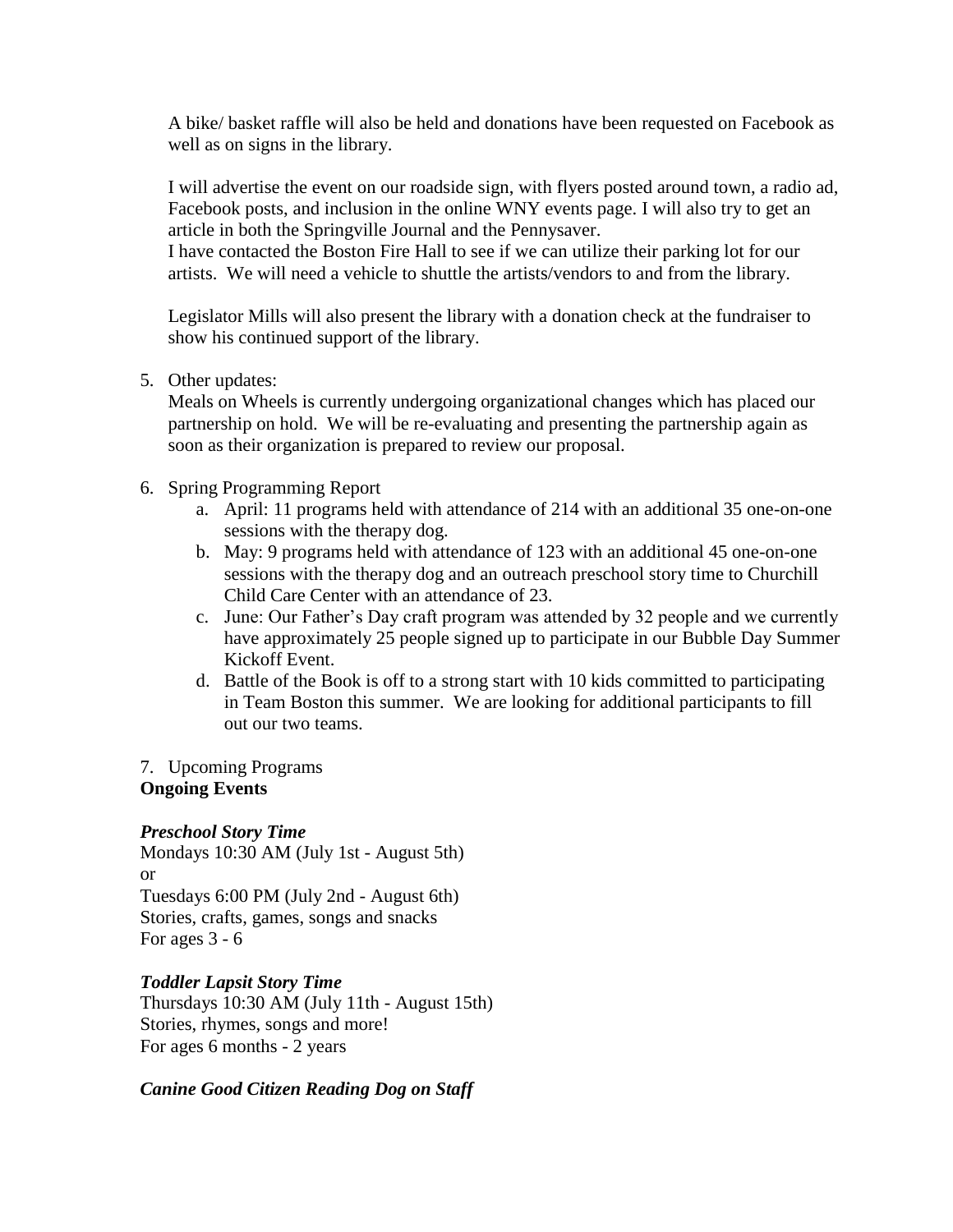A bike/ basket raffle will also be held and donations have been requested on Facebook as well as on signs in the library.

I will advertise the event on our roadside sign, with flyers posted around town, a radio ad, Facebook posts, and inclusion in the online WNY events page. I will also try to get an article in both the Springville Journal and the Pennysaver.

I have contacted the Boston Fire Hall to see if we can utilize their parking lot for our artists. We will need a vehicle to shuttle the artists/vendors to and from the library.

Legislator Mills will also present the library with a donation check at the fundraiser to show his continued support of the library.

5. Other updates:

Meals on Wheels is currently undergoing organizational changes which has placed our partnership on hold. We will be re-evaluating and presenting the partnership again as soon as their organization is prepared to review our proposal.

- 6. Spring Programming Report
	- a. April: 11 programs held with attendance of 214 with an additional 35 one-on-one sessions with the therapy dog.
	- b. May: 9 programs held with attendance of 123 with an additional 45 one-on-one sessions with the therapy dog and an outreach preschool story time to Churchill Child Care Center with an attendance of 23.
	- c. June: Our Father's Day craft program was attended by 32 people and we currently have approximately 25 people signed up to participate in our Bubble Day Summer Kickoff Event.
	- d. Battle of the Book is off to a strong start with 10 kids committed to participating in Team Boston this summer. We are looking for additional participants to fill out our two teams.

### 7. Upcoming Programs **Ongoing Events**

# *Preschool Story Time*

Mondays 10:30 AM (July 1st - August 5th) or Tuesdays 6:00 PM (July 2nd - August 6th) Stories, crafts, games, songs and snacks For ages  $3 - 6$ 

# *Toddler Lapsit Story Time*

Thursdays 10:30 AM (July 11th - August 15th) Stories, rhymes, songs and more! For ages 6 months - 2 years

### *Canine Good Citizen Reading Dog on Staff*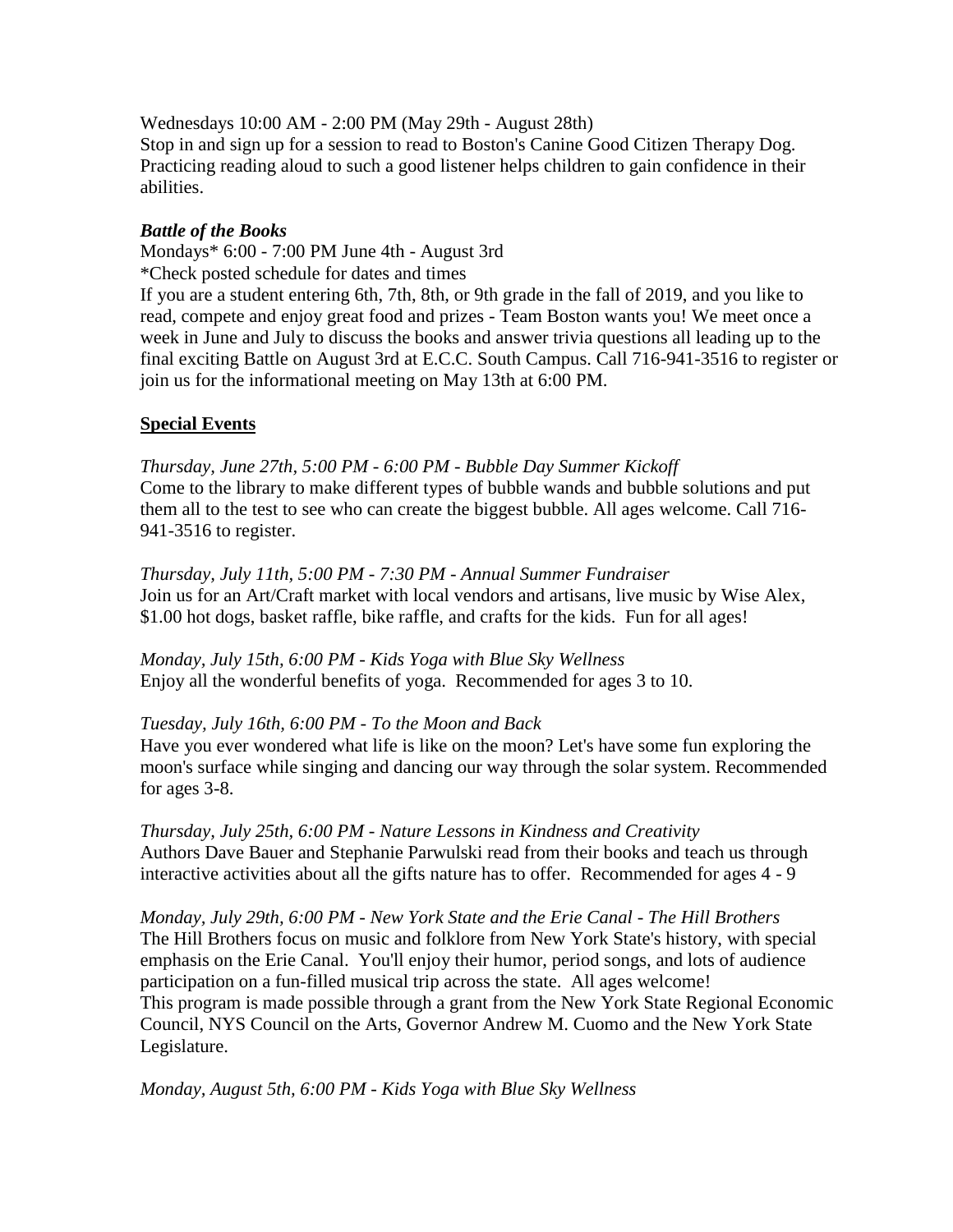Wednesdays 10:00 AM - 2:00 PM (May 29th - August 28th) Stop in and sign up for a session to read to Boston's Canine Good Citizen Therapy Dog. Practicing reading aloud to such a good listener helps children to gain confidence in their abilities.

## *Battle of the Books*

Mondays\* 6:00 - 7:00 PM June 4th - August 3rd

\*Check posted schedule for dates and times

If you are a student entering 6th, 7th, 8th, or 9th grade in the fall of 2019, and you like to read, compete and enjoy great food and prizes - Team Boston wants you! We meet once a week in June and July to discuss the books and answer trivia questions all leading up to the final exciting Battle on August 3rd at E.C.C. South Campus. Call 716-941-3516 to register or join us for the informational meeting on May 13th at 6:00 PM.

# **Special Events**

*Thursday, June 27th, 5:00 PM - 6:00 PM - Bubble Day Summer Kickoff* Come to the library to make different types of bubble wands and bubble solutions and put them all to the test to see who can create the biggest bubble. All ages welcome. Call 716- 941-3516 to register.

*Thursday, July 11th, 5:00 PM - 7:30 PM - Annual Summer Fundraiser* Join us for an Art/Craft market with local vendors and artisans, live music by Wise Alex, \$1.00 hot dogs, basket raffle, bike raffle, and crafts for the kids. Fun for all ages!

*Monday, July 15th, 6:00 PM - Kids Yoga with Blue Sky Wellness* Enjoy all the wonderful benefits of yoga. Recommended for ages 3 to 10.

# *Tuesday, July 16th, 6:00 PM - To the Moon and Back*

Have you ever wondered what life is like on the moon? Let's have some fun exploring the moon's surface while singing and dancing our way through the solar system. Recommended for ages 3-8.

*Thursday, July 25th, 6:00 PM - Nature Lessons in Kindness and Creativity* Authors Dave Bauer and Stephanie Parwulski read from their books and teach us through interactive activities about all the gifts nature has to offer. Recommended for ages 4 - 9

*Monday, July 29th, 6:00 PM - New York State and the Erie Canal - The Hill Brothers* The Hill Brothers focus on music and folklore from New York State's history, with special emphasis on the Erie Canal. You'll enjoy their humor, period songs, and lots of audience participation on a fun-filled musical trip across the state. All ages welcome! This program is made possible through a grant from the New York State Regional Economic Council, NYS Council on the Arts, Governor Andrew M. Cuomo and the New York State Legislature.

*Monday, August 5th, 6:00 PM - Kids Yoga with Blue Sky Wellness*